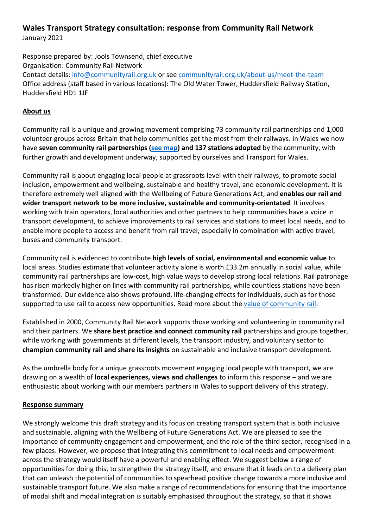# **Wales Transport Strategy consultation: response from Community Rail Network**

January 2021

Response prepared by: Jools Townsend, chief executive Organisation: Community Rail Network Contact details: [info@communityrail.org.uk](mailto:info@communityrail.org.uk) or se[e communityrail.org.uk/about-us/meet-the-team](https://communityrail.org.uk/about-us/meet-the-team/) Office address (staff based in various locations): The Old Water Tower, Huddersfield Railway Station, Huddersfield HD1 1JF

### **About us**

Community rail is a unique and growing movement comprising 73 community rail partnerships and 1,000 volunteer groups across Britain that help communities get the most from their railways. In Wales we now have **seven community rail partnerships [\(see map\)](https://communityrail.org.uk/community-rail/meet-our-members/) and 137 stations adopted** by the community, with further growth and development underway, supported by ourselves and Transport for Wales.

Community rail is about engaging local people at grassroots level with their railways, to promote social inclusion, empowerment and wellbeing, sustainable and healthy travel, and economic development. It is therefore extremely well aligned with the Wellbeing of Future Generations Act, and **enables our rail and wider transport network to be more inclusive, sustainable and community-orientated**. It involves working with train operators, local authorities and other partners to help communities have a voice in transport development, to achieve improvements to rail services and stations to meet local needs, and to enable more people to access and benefit from rail travel, especially in combination with active travel, buses and community transport.

Community rail is evidenced to contribute **high levels of social, environmental and economic value** to local areas. Studies estimate that volunteer activity alone is worth £33.2m annually in social value, while community rail partnerships are low-cost, high value ways to develop strong local relations. Rail patronage has risen markedly higher on lines with community rail partnerships, while countless stations have been transformed. Our evidence also shows profound, life-changing effects for individuals, such as for those supported to use rail to access new opportunities. Read more about the [value of community rail.](https://communityrail.org.uk/wp-content/uploads/2019/10/ACoRP-Value-of-Community-Rail-2019-final-for-web-141019.pdf)

Established in 2000, Community Rail Network supports those working and volunteering in community rail and their partners. We **share best practice and connect community rail** partnerships and groups together, while working with governments at different levels, the transport industry, and voluntary sector to **champion community rail and share its insights** on sustainable and inclusive transport development.

As the umbrella body for a unique grassroots movement engaging local people with transport, we are drawing on a wealth of **local experiences, views and challenges** to inform this response – and we are enthusiastic about working with our members partners in Wales to support delivery of this strategy.

#### **Response summary**

We strongly welcome this draft strategy and its focus on creating transport system that is both inclusive and sustainable, aligning with the Wellbeing of Future Generations Act. We are pleased to see the importance of community engagement and empowerment, and the role of the third sector, recognised in a few places. However, we propose that integrating this commitment to local needs and empowerment across the strategy would itself have a powerful and enabling effect. We suggest below a range of opportunities for doing this, to strengthen the strategy itself, and ensure that it leads on to a delivery plan that can unleash the potential of communities to spearhead positive change towards a more inclusive and sustainable transport future. We also make a range of recommendations for ensuring that the importance of modal shift and modal integration is suitably emphasised throughout the strategy, so that it shows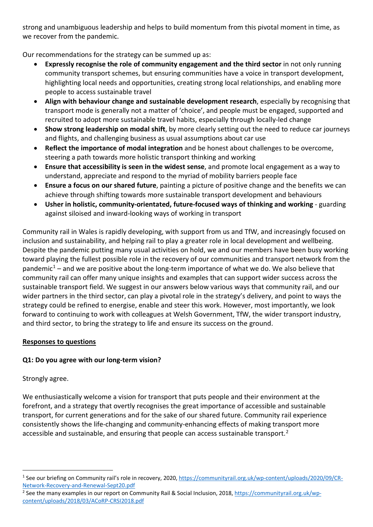strong and unambiguous leadership and helps to build momentum from this pivotal moment in time, as we recover from the pandemic.

Our recommendations for the strategy can be summed up as:

- **Expressly recognise the role of community engagement and the third sector** in not only running community transport schemes, but ensuring communities have a voice in transport development, highlighting local needs and opportunities, creating strong local relationships, and enabling more people to access sustainable travel
- **Align with behaviour change and sustainable development research**, especially by recognising that transport mode is generally not a matter of 'choice', and people must be engaged, supported and recruited to adopt more sustainable travel habits, especially through locally-led change
- **Show strong leadership on modal shift**, by more clearly setting out the need to reduce car journeys and flights, and challenging business as usual assumptions about car use
- **Reflect the importance of modal integration** and be honest about challenges to be overcome, steering a path towards more holistic transport thinking and working
- **Ensure that accessibility is seen in the widest sense**, and promote local engagement as a way to understand, appreciate and respond to the myriad of mobility barriers people face
- **Ensure a focus on our shared future**, painting a picture of positive change and the benefits we can achieve through shifting towards more sustainable transport development and behaviours
- **Usher in holistic, community-orientated, future-focused ways of thinking and working** guarding against siloised and inward-looking ways of working in transport

Community rail in Wales is rapidly developing, with support from us and TfW, and increasingly focused on inclusion and sustainability, and helping rail to play a greater role in local development and wellbeing. Despite the pandemic putting many usual activities on hold, we and our members have been busy working toward playing the fullest possible role in the recovery of our communities and transport network from the pandemic<sup>[1](#page-1-0)</sup> – and we are positive about the long-term importance of what we do. We also believe that community rail can offer many unique insights and examples that can support wider success across the sustainable transport field. We suggest in our answers below various ways that community rail, and our wider partners in the third sector, can play a pivotal role in the strategy's delivery, and point to ways the strategy could be refined to energise, enable and steer this work. However, most importantly, we look forward to continuing to work with colleagues at Welsh Government, TfW, the wider transport industry, and third sector, to bring the strategy to life and ensure its success on the ground.

# **Responses to questions**

# **Q1: Do you agree with our long-term vision?**

Strongly agree.

We enthusiastically welcome a vision for transport that puts people and their environment at the forefront, and a strategy that overtly recognises the great importance of accessible and sustainable transport, for current generations and for the sake of our shared future. Community rail experience consistently shows the life-changing and community-enhancing effects of making transport more accessible and sustainable, and ensuring that people can access sustainable transport.<sup>[2](#page-1-1)</sup>

<span id="page-1-0"></span><sup>1</sup> See our briefing on Community rail's role in recovery, 2020[, https://communityrail.org.uk/wp-content/uploads/2020/09/CR-](https://communityrail.org.uk/wp-content/uploads/2020/09/CR-Network-Recovery-and-Renewal-Sept20.pdf)[Network-Recovery-and-Renewal-Sept20.pdf](https://communityrail.org.uk/wp-content/uploads/2020/09/CR-Network-Recovery-and-Renewal-Sept20.pdf)

<span id="page-1-1"></span><sup>&</sup>lt;sup>2</sup> See the many examples in our report on Community Rail & Social Inclusion, 2018, [https://communityrail.org.uk/wp](https://communityrail.org.uk/wp-content/uploads/2018/03/ACoRP-CRSI2018.pdf)[content/uploads/2018/03/ACoRP-CRSI2018.pdf](https://communityrail.org.uk/wp-content/uploads/2018/03/ACoRP-CRSI2018.pdf)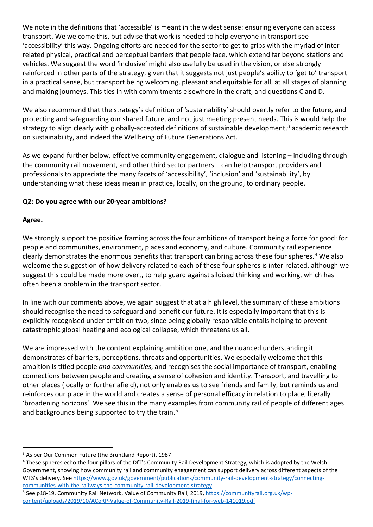We note in the definitions that 'accessible' is meant in the widest sense: ensuring everyone can access transport. We welcome this, but advise that work is needed to help everyone in transport see 'accessibility' this way. Ongoing efforts are needed for the sector to get to grips with the myriad of interrelated physical, practical and perceptual barriers that people face, which extend far beyond stations and vehicles. We suggest the word 'inclusive' might also usefully be used in the vision, or else strongly reinforced in other parts of the strategy, given that it suggests not just people's ability to 'get to' transport in a practical sense, but transport being welcoming, pleasant and equitable for all, at all stages of planning and making journeys. This ties in with commitments elsewhere in the draft, and questions C and D.

We also recommend that the strategy's definition of 'sustainability' should overtly refer to the future, and protecting and safeguarding our shared future, and not just meeting present needs. This is would help the strategy to align clearly with globally-accepted definitions of sustainable development,<sup>[3](#page-2-0)</sup> academic research on sustainability, and indeed the Wellbeing of Future Generations Act.

As we expand further below, effective community engagement, dialogue and listening – including through the community rail movement, and other third sector partners – can help transport providers and professionals to appreciate the many facets of 'accessibility', 'inclusion' and 'sustainability', by understanding what these ideas mean in practice, locally, on the ground, to ordinary people.

#### **Q2: Do you agree with our 20-year ambitions?**

#### **Agree.**

We strongly support the positive framing across the four ambitions of transport being a force for good: for people and communities, environment, places and economy, and culture. Community rail experience clearly demonstrates the enormous benefits that transport can bring across these four spheres.<sup>[4](#page-2-1)</sup> We also welcome the suggestion of how delivery related to each of these four spheres is inter-related, although we suggest this could be made more overt, to help guard against siloised thinking and working, which has often been a problem in the transport sector.

In line with our comments above, we again suggest that at a high level, the summary of these ambitions should recognise the need to safeguard and benefit our future. It is especially important that this is explicitly recognised under ambition two, since being globally responsible entails helping to prevent catastrophic global heating and ecological collapse, which threatens us all.

We are impressed with the content explaining ambition one, and the nuanced understanding it demonstrates of barriers, perceptions, threats and opportunities. We especially welcome that this ambition is titled people *and communities*, and recognises the social importance of transport, enabling connections between people and creating a sense of cohesion and identity. Transport, and travelling to other places (locally or further afield), not only enables us to see friends and family, but reminds us and reinforces our place in the world and creates a sense of personal efficacy in relation to place, literally 'broadening horizons'. We see this in the many examples from community rail of people of different ages and backgrounds being supported to try the train.<sup>[5](#page-2-2)</sup>

<span id="page-2-0"></span><sup>&</sup>lt;sup>3</sup> As per Our Common Future (the Bruntland Report), 1987

<span id="page-2-1"></span><sup>&</sup>lt;sup>4</sup> These spheres echo the four pillars of the DfT's Community Rail Development Strategy, which is adopted by the Welsh Government, showing how community rail and community engagement can support delivery across different aspects of the WTS's delivery. See [https://www.gov.uk/government/publications/community-rail-development-strategy/connecting-](https://www.gov.uk/government/publications/community-rail-development-strategy/connecting-communities-with-the-railways-the-community-rail-development-strategy)

<span id="page-2-2"></span>[communities-with-the-railways-the-community-rail-development-strategy.](https://www.gov.uk/government/publications/community-rail-development-strategy/connecting-communities-with-the-railways-the-community-rail-development-strategy) 5 See p18-19, Community Rail Network, Value of Community Rail, 2019, [https://communityrail.org.uk/wp](https://communityrail.org.uk/wp-content/uploads/2019/10/ACoRP-Value-of-Community-Rail-2019-final-for-web-141019.pdf)[content/uploads/2019/10/ACoRP-Value-of-Community-Rail-2019-final-for-web-141019.pdf](https://communityrail.org.uk/wp-content/uploads/2019/10/ACoRP-Value-of-Community-Rail-2019-final-for-web-141019.pdf)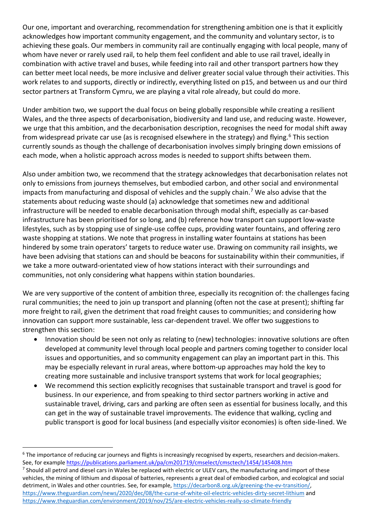Our one, important and overarching, recommendation for strengthening ambition one is that it explicitly acknowledges how important community engagement, and the community and voluntary sector, is to achieving these goals. Our members in community rail are continually engaging with local people, many of whom have never or rarely used rail, to help them feel confident and able to use rail travel, ideally in combination with active travel and buses, while feeding into rail and other transport partners how they can better meet local needs, be more inclusive and deliver greater social value through their activities. This work relates to and supports, directly or indirectly, everything listed on p15, and between us and our third sector partners at Transform Cymru, we are playing a vital role already, but could do more.

Under ambition two, we support the dual focus on being globally responsible while creating a resilient Wales, and the three aspects of decarbonisation, biodiversity and land use, and reducing waste. However, we urge that this ambition, and the decarbonisation description, recognises the need for modal shift away from widespread private car use (as is recognised elsewhere in the strategy) and flying.<sup>6</sup> This section currently sounds as though the challenge of decarbonisation involves simply bringing down emissions of each mode, when a holistic approach across modes is needed to support shifts between them.

Also under ambition two, we recommend that the strategy acknowledges that decarbonisation relates not only to emissions from journeys themselves, but embodied carbon, and other social and environmental impacts from manufacturing and disposal of vehicles and the supply chain.<sup>[7](#page-3-1)</sup> We also advise that the statements about reducing waste should (a) acknowledge that sometimes new and additional infrastructure will be needed to enable decarbonisation through modal shift, especially as car-based infrastructure has been prioritised for so long, and (b) reference how transport can support low-waste lifestyles, such as by stopping use of single-use coffee cups, providing water fountains, and offering zero waste shopping at stations. We note that progress in installing water fountains at stations has been hindered by some train operators' targets to reduce water use. Drawing on community rail insights, we have been advising that stations can and should be beacons for sustainability within their communities, if we take a more outward-orientated view of how stations interact with their surroundings and communities, not only considering what happens within station boundaries.

We are very supportive of the content of ambition three, especially its recognition of: the challenges facing rural communities; the need to join up transport and planning (often not the case at present); shifting far more freight to rail, given the detriment that road freight causes to communities; and considering how innovation can support more sustainable, less car-dependent travel. We offer two suggestions to strengthen this section:

- Innovation should be seen not only as relating to (new) technologies: innovative solutions are often developed at community level through local people and partners coming together to consider local issues and opportunities, and so community engagement can play an important part in this. This may be especially relevant in rural areas, where bottom-up approaches may hold the key to creating more sustainable and inclusive transport systems that work for local geographies;
- We recommend this section explicitly recognises that sustainable transport and travel is good for business. In our experience, and from speaking to third sector partners working in active and sustainable travel, driving, cars and parking are often seen as essential for business locally, and this can get in the way of sustainable travel improvements. The evidence that walking, cycling and public transport is good for local business (and especially visitor economies) is often side-lined. We

<span id="page-3-0"></span><sup>&</sup>lt;sup>6</sup> The importance of reducing car journeys and flights is increasingly recognised by experts, researchers and decision-makers. See, for example<https://publications.parliament.uk/pa/cm201719/cmselect/cmsctech/1454/145408.htm>

<span id="page-3-1"></span><sup>&</sup>lt;sup>7</sup> Should all petrol and diesel cars in Wales be replaced with electric or ULEV cars, the manufacturing and import of these vehicles, the mining of lithium and disposal of batteries, represents a great deal of embodied carbon, and ecological and social detriment, in Wales and other countries. See, for example, [https://decarbon8.org.uk/greening-the-ev-transition/,](https://decarbon8.org.uk/greening-the-ev-transition/) <https://www.theguardian.com/news/2020/dec/08/the-curse-of-white-oil-electric-vehicles-dirty-secret-lithium> and <https://www.theguardian.com/environment/2019/nov/25/are-electric-vehicles-really-so-climate-friendly>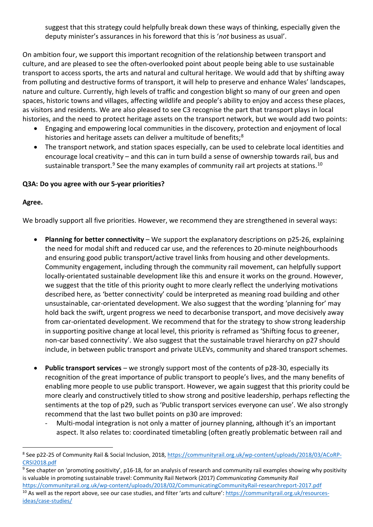suggest that this strategy could helpfully break down these ways of thinking, especially given the deputy minister's assurances in his foreword that this is '*not* business as usual'.

On ambition four, we support this important recognition of the relationship between transport and culture, and are pleased to see the often-overlooked point about people being able to use sustainable transport to access sports, the arts and natural and cultural heritage. We would add that by shifting away from polluting and destructive forms of transport, it will help to preserve and enhance Wales' landscapes, nature and culture. Currently, high levels of traffic and congestion blight so many of our green and open spaces, historic towns and villages, affecting wildlife and people's ability to enjoy and access these places, as visitors and residents. We are also pleased to see C3 recognise the part that transport plays in local histories, and the need to protect heritage assets on the transport network, but we would add two points:

- Engaging and empowering local communities in the discovery, protection and enjoyment of local histories and heritage assets can deliver a multitude of benefits;<sup>[8](#page-4-0)</sup>
- The transport network, and station spaces especially, can be used to celebrate local identities and encourage local creativity – and this can in turn build a sense of ownership towards rail, bus and sustainable transport.<sup>9</sup> See the many examples of community rail art projects at stations.<sup>[10](#page-4-2)</sup>

#### **Q3A: Do you agree with our 5-year priorities?**

#### **Agree.**

We broadly support all five priorities. However, we recommend they are strengthened in several ways:

- **Planning for better connectivity** We support the explanatory descriptions on p25-26, explaining the need for modal shift and reduced car use, and the references to 20-minute neighbourhoods and ensuring good public transport/active travel links from housing and other developments. Community engagement, including through the community rail movement, can helpfully support locally-orientated sustainable development like this and ensure it works on the ground. However, we suggest that the title of this priority ought to more clearly reflect the underlying motivations described here, as 'better connectivity' could be interpreted as meaning road building and other unsustainable, car-orientated development. We also suggest that the wording 'planning for' may hold back the swift, urgent progress we need to decarbonise transport, and move decisively away from car-orientated development. We recommend that for the strategy to show strong leadership in supporting positive change at local level, this priority is reframed as 'Shifting focus to greener, non-car based connectivity'. We also suggest that the sustainable travel hierarchy on p27 should include, in between public transport and private ULEVs, community and shared transport schemes.
- **Public transport services** we strongly support most of the contents of p28-30, especially its recognition of the great importance of public transport to people's lives, and the many benefits of enabling more people to use public transport. However, we again suggest that this priority could be more clearly and constructively titled to show strong and positive leadership, perhaps reflecting the sentiments at the top of p29, such as 'Public transport services everyone can use'. We also strongly recommend that the last two bullet points on p30 are improved:
	- Multi-modal integration is not only a matter of journey planning, although it's an important aspect. It also relates to: coordinated timetabling (often greatly problematic between rail and

<span id="page-4-0"></span><sup>&</sup>lt;sup>8</sup> See p22-25 of Community Rail & Social Inclusion, 2018, [https://communityrail.org.uk/wp-content/uploads/2018/03/ACoRP-](https://communityrail.org.uk/wp-content/uploads/2018/03/ACoRP-CRSI2018.pdf)[CRSI2018.pdf](https://communityrail.org.uk/wp-content/uploads/2018/03/ACoRP-CRSI2018.pdf)

<span id="page-4-2"></span><span id="page-4-1"></span><sup>&</sup>lt;sup>9</sup> See chapter on 'promoting positivity', p16-18, for an analysis of research and community rail examples showing why positivity is valuable in promoting sustainable travel: Community Rail Network (2017) *Communicating Community Rail* <https://communityrail.org.uk/wp-content/uploads/2018/02/CommunicatingCommunityRail-researchreport-2017.pdf> <sup>10</sup> As well as the report above, see our case studies, and filter 'arts and culture': [https://communityrail.org.uk/resources](https://communityrail.org.uk/resources-ideas/case-studies/)[ideas/case-studies/](https://communityrail.org.uk/resources-ideas/case-studies/)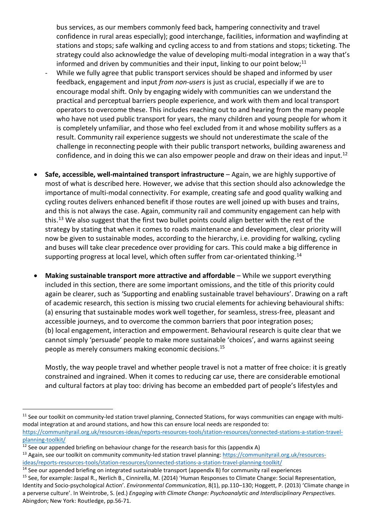bus services, as our members commonly feed back, hampering connectivity and travel confidence in rural areas especially); good interchange, facilities, information and wayfinding at stations and stops; safe walking and cycling access to and from stations and stops; ticketing. The strategy could also acknowledge the value of developing multi-modal integration in a way that's informed and driven by communities and their input, linking to our point below;<sup>[11](#page-5-0)</sup>

- While we fully agree that public transport services should be shaped and informed by user feedback, engagement and input *from non-users* is just as crucial, especially if we are to encourage modal shift. Only by engaging widely with communities can we understand the practical and perceptual barriers people experience, and work with them and local transport operators to overcome these. This includes reaching out to and hearing from the many people who have not used public transport for years, the many children and young people for whom it is completely unfamiliar, and those who feel excluded from it and whose mobility suffers as a result. Community rail experience suggests we should not underestimate the scale of the challenge in reconnecting people with their public transport networks, building awareness and confidence, and in doing this we can also empower people and draw on their ideas and input.<sup>12</sup>
- **Safe, accessible, well-maintained transport infrastructure** Again, we are highly supportive of most of what is described here. However, we advise that this section should also acknowledge the importance of multi-modal connectivity. For example, creating safe and good quality walking and cycling routes delivers enhanced benefit if those routes are well joined up with buses and trains, and this is not always the case. Again, community rail and community engagement can help with this.<sup>[13](#page-5-2)</sup> We also suggest that the first two bullet points could align better with the rest of the strategy by stating that when it comes to roads maintenance and development, clear priority will now be given to sustainable modes, according to the hierarchy, i.e. providing for walking, cycling and buses will take clear precedence over providing for cars. This could make a big difference in supporting progress at local level, which often suffer from car-orientated thinking.<sup>[14](#page-5-3)</sup>
- **Making sustainable transport more attractive and affordable** While we support everything included in this section, there are some important omissions, and the title of this priority could again be clearer, such as 'Supporting and enabling sustainable travel behaviours'. Drawing on a raft of academic research, this section is missing two crucial elements for achieving behavioural shifts: (a) ensuring that sustainable modes work well together, for seamless, stress-free, pleasant and accessible journeys, and to overcome the common barriers that poor integration poses; (b) local engagement, interaction and empowerment. Behavioural research is quite clear that we cannot simply 'persuade' people to make more sustainable 'choices', and warns against seeing people as merely consumers making economic decisions.[15](#page-5-4)

Mostly, the way people travel and whether people travel is not a matter of free choice: it is greatly constrained and ingrained. When it comes to reducing car use, there are considerable emotional and cultural factors at play too: driving has become an embedded part of people's lifestyles and

<span id="page-5-0"></span><sup>&</sup>lt;sup>11</sup> See our toolkit on community-led station travel planning, Connected Stations, for ways communities can engage with multimodal integration at and around stations, and how this can ensure local needs are responded to: [https://communityrail.org.uk/resources-ideas/reports-resources-tools/station-resources/connected-stations-a-station-travel](https://communityrail.org.uk/resources-ideas/reports-resources-tools/station-resources/connected-stations-a-station-travel-planning-toolkit/)[planning-toolkit/](https://communityrail.org.uk/resources-ideas/reports-resources-tools/station-resources/connected-stations-a-station-travel-planning-toolkit/)

<span id="page-5-1"></span> $12$  See our appended briefing on behaviour change for the research basis for this (appendix A)

<span id="page-5-2"></span><sup>&</sup>lt;sup>13</sup> Again, see our toolkit on community community-led station travel planning[: https://communityrail.org.uk/resources](https://communityrail.org.uk/resources-ideas/reports-resources-tools/station-resources/connected-stations-a-station-travel-planning-toolkit/)[ideas/reports-resources-tools/station-resources/connected-stations-a-station-travel-planning-toolkit/](https://communityrail.org.uk/resources-ideas/reports-resources-tools/station-resources/connected-stations-a-station-travel-planning-toolkit/)

<span id="page-5-3"></span><sup>&</sup>lt;sup>14</sup> See our appended briefing on integrated sustainable transport (appendix B) for community rail experiences

<span id="page-5-4"></span><sup>&</sup>lt;sup>15</sup> See, for example: Jaspal R., Nerlich B., Cinnirella, M. (2014) 'Human Responses to Climate Change: Social Representation, Identity and Socio-psychological Action'. *Environmental Communication*, 8(1), pp.110–130; Hoggett, P. (2013) 'Climate change in a perverse culture'. In Weintrobe, S. (ed.) *Engaging with Climate Change: Psychoanalytic and Interdisciplinary Perspectives*. Abingdon; New York: Routledge, pp.56-71.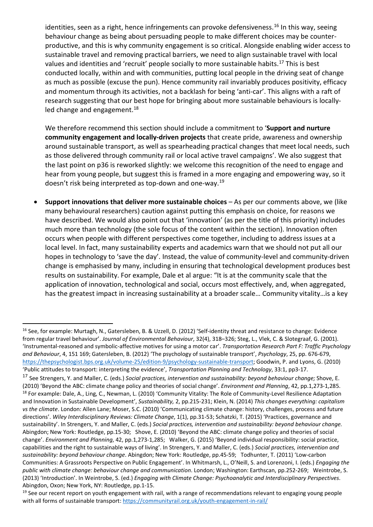identities, seen as a right, hence infringements can provoke defensiveness.<sup>[16](#page-6-0)</sup> In this way, seeing behaviour change as being about persuading people to make different choices may be counterproductive, and this is why community engagement is so critical. Alongside enabling wider access to sustainable travel and removing practical barriers, we need to align sustainable travel with local values and identities and 'recruit' people socially to more sustainable habits.<sup>[17](#page-6-1)</sup> This is best conducted locally, within and with communities, putting local people in the driving seat of change as much as possible (excuse the pun). Hence community rail invariably produces positivity, efficacy and momentum through its activities, not a backlash for being 'anti-car'. This aligns with a raft of research suggesting that our best hope for bringing about more sustainable behaviours is locallyled change and engagement. $18$ 

We therefore recommend this section should include a commitment to '**Support and nurture community engagement and locally-driven projects** that create pride, awareness and ownership around sustainable transport, as well as spearheading practical changes that meet local needs, such as those delivered through community rail or local active travel campaigns'. We also suggest that the last point on p36 is reworked slightly: we welcome this recognition of the need to engage and hear from young people, but suggest this is framed in a more engaging and empowering way, so it doesn't risk being interpreted as top-down and one-way.<sup>[19](#page-6-3)</sup>

• **Support innovations that deliver more sustainable choices** – As per our comments above, we (like many behavioural researchers) caution against putting this emphasis on choice, for reasons we have described. We would also point out that 'innovation' (as per the title of this priority) includes much more than technology (the sole focus of the content within the section). Innovation often occurs when people with different perspectives come together, including to address issues at a local level. In fact, many sustainability experts and academics warn that we should not put all our hopes in technology to 'save the day'. Instead, the value of community-level and community-driven change is emphasised by many, including in ensuring that technological development produces best results on sustainability. For example, Dale et al argue: "It is at the community scale that the application of innovation, technological and social, occurs most effectively, and, when aggregated, has the greatest impact in increasing sustainability at a broader scale… Community vitality…is a key

<span id="page-6-0"></span><sup>&</sup>lt;sup>16</sup> See, for example: Murtagh, N., Gatersleben, B. & Uzzell, D. (2012) 'Self-identity threat and resistance to change: Evidence from regular travel behaviour'. *Journal of Environmental Behaviour*, 32(4), 318–326; Steg, L., Vlek, C. & Slotegraaf, G. (2001). 'Instrumental-reasoned and symbolic-affective motives for using a motor car'. *Transportation Research Part F: Traffic Psychology and Behaviour*, 4, 151 169; Gatersleben, B. (2012) 'The psychology of sustainable transport', *Psychology*, 25, pp. 676-679, [https://thepsychologist.bps.org.uk/volume-25/edition-9/psychology-sustainable-transport;](https://thepsychologist.bps.org.uk/volume-25/edition-9/psychology-sustainable-transport) Goodwin, P. and Lyons, G. (2010) 'Public attitudes to transport: interpreting the evidence', *Transportation Planning and Technology*, 33:1, pp3-17.

<span id="page-6-2"></span><span id="page-6-1"></span><sup>17</sup> See Strengers, Y. and Maller, C. (eds.) *Social practices, intervention and sustainability: beyond behaviour change;* Shove, E. (2010) 'Beyond the ABC: climate change policy and theories of social change'. *Environment and Planning*, 42, pp.1,273-1,285. <sup>18</sup> For example: Dale, A., Ling, C., Newman, L. (2010) 'Community Vitality: The Role of Community-Level Resilience Adaptation and Innovation in Sustainable Development', *Sustainability,* 2, pp.215-231; Klein, N. (2014) *This changes everything: capitalism vs the climate*. London: Allen Lane; Moser, S.C. (2010) 'Communicating climate change: history, challenges, process and future directions'. *Wiley Interdisciplinary Reviews: Climate Change*, 1(1), pp.31-53; Schatzki, T. (2015) 'Practices, governance and sustainability'. In Strengers, Y. and Maller, C. (eds.) *Social practices, intervention and sustainability: beyond behaviour change.* Abingdon; New York: Routledge, pp.15-30; Shove, E. (2010) 'Beyond the ABC: climate change policy and theories of social change'. *Environment and Planning*, 42, pp.1,273-1,285; Walker, G. (2015) 'Beyond individual responsibility: social practice, capabilities and the right to sustainable ways of living'. In Strengers, Y. and Maller, C. (eds.) *Social practices, intervention and sustainability: beyond behaviour change*. Abingdon; New York: Routledge, pp.45-59; Todhunter, T. (2011) 'Low-carbon Communities: A Grassroots Perspective on Public Engagement'. In Whitmarsh, L., O'Neill, S. and Lorenzoni, I. (eds.) *Engaging the public with climate change: behaviour change and communication*. London; Washington: Earthscan, pp.252-269; Weintrobe, S. (2013) 'Introduction'. In Weintrobe, S. (ed.) *Engaging with Climate Change: Psychoanalytic and Interdisciplinary Perspectives*. Abingdon, Oxon; New York, NY: Routledge, pp.1-15.

<span id="page-6-3"></span><sup>&</sup>lt;sup>19</sup> See our recent report on youth engagement with rail, with a range of recommendations relevant to engaging young people with all forms of sustainable transport:<https://communityrail.org.uk/youth-engagement-in-rail/>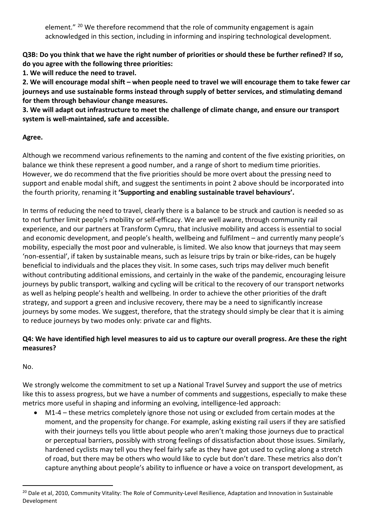element." <sup>[20](#page-7-0)</sup> We therefore recommend that the role of community engagement is again acknowledged in this section, including in informing and inspiring technological development.

**Q3B: Do you think that we have the right number of priorities or should these be further refined? If so, do you agree with the following three priorities:** 

**1. We will reduce the need to travel.** 

**2. We will encourage modal shift – when people need to travel we will encourage them to take fewer car journeys and use sustainable forms instead through supply of better services, and stimulating demand for them through behaviour change measures.** 

**3. We will adapt out infrastructure to meet the challenge of climate change, and ensure our transport system is well-maintained, safe and accessible.**

# **Agree.**

Although we recommend various refinements to the naming and content of the five existing priorities, on balance we think these represent a good number, and a range of short to medium time priorities. However, we do recommend that the five priorities should be more overt about the pressing need to support and enable modal shift, and suggest the sentiments in point 2 above should be incorporated into the fourth priority, renaming it **'Supporting and enabling sustainable travel behaviours'.** 

In terms of reducing the need to travel, clearly there is a balance to be struck and caution is needed so as to not further limit people's mobility or self-efficacy. We are well aware, through community rail experience, and our partners at Transform Cymru, that inclusive mobility and access is essential to social and economic development, and people's health, wellbeing and fulfilment – and currently many people's mobility, especially the most poor and vulnerable, is limited. We also know that journeys that may seem 'non-essential', if taken by sustainable means, such as leisure trips by train or bike-rides, can be hugely beneficial to individuals and the places they visit. In some cases, such trips may deliver much benefit without contributing additional emissions, and certainly in the wake of the pandemic, encouraging leisure journeys by public transport, walking and cycling will be critical to the recovery of our transport networks as well as helping people's health and wellbeing. In order to achieve the other priorities of the draft strategy, and support a green and inclusive recovery, there may be a need to significantly increase journeys by some modes. We suggest, therefore, that the strategy should simply be clear that it is aiming to reduce journeys by two modes only: private car and flights.

# **Q4: We have identified high level measures to aid us to capture our overall progress. Are these the right measures?**

No.

We strongly welcome the commitment to set up a National Travel Survey and support the use of metrics like this to assess progress, but we have a number of comments and suggestions, especially to make these metrics more useful in shaping and informing an evolving, intelligence-led approach:

• M1-4 – these metrics completely ignore those not using or excluded from certain modes at the moment, and the propensity for change. For example, asking existing rail users if they are satisfied with their journeys tells you little about people who aren't making those journeys due to practical or perceptual barriers, possibly with strong feelings of dissatisfaction about those issues. Similarly, hardened cyclists may tell you they feel fairly safe as they have got used to cycling along a stretch of road, but there may be others who would like to cycle but don't dare. These metrics also don't capture anything about people's ability to influence or have a voice on transport development, as

<span id="page-7-0"></span><sup>&</sup>lt;sup>20</sup> Dale et al, 2010, Community Vitality: The Role of Community-Level Resilience, Adaptation and Innovation in Sustainable Development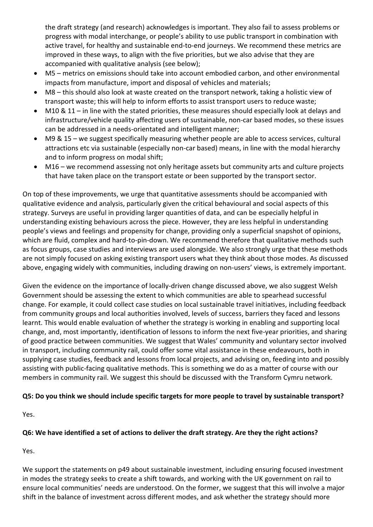the draft strategy (and research) acknowledges is important. They also fail to assess problems or progress with modal interchange, or people's ability to use public transport in combination with active travel, for healthy and sustainable end-to-end journeys. We recommend these metrics are improved in these ways, to align with the five priorities, but we also advise that they are accompanied with qualitative analysis (see below);

- M5 metrics on emissions should take into account embodied carbon, and other environmental impacts from manufacture, import and disposal of vehicles and materials;
- M8 this should also look at waste created on the transport network, taking a holistic view of transport waste; this will help to inform efforts to assist transport users to reduce waste;
- M10 & 11 in line with the stated priorities, these measures should especially look at delays and infrastructure/vehicle quality affecting users of sustainable, non-car based modes, so these issues can be addressed in a needs-orientated and intelligent manner;
- M9 & 15 we suggest specifically measuring whether people are able to access services, cultural attractions etc via sustainable (especially non-car based) means, in line with the modal hierarchy and to inform progress on modal shift;
- M16 we recommend assessing not only heritage assets but community arts and culture projects that have taken place on the transport estate or been supported by the transport sector.

On top of these improvements, we urge that quantitative assessments should be accompanied with qualitative evidence and analysis, particularly given the critical behavioural and social aspects of this strategy. Surveys are useful in providing larger quantities of data, and can be especially helpful in understanding existing behaviours across the piece. However, they are less helpful in understanding people's views and feelings and propensity for change, providing only a superficial snapshot of opinions, which are fluid, complex and hard-to-pin-down. We recommend therefore that qualitative methods such as focus groups, case studies and interviews are used alongside. We also strongly urge that these methods are not simply focused on asking existing transport users what they think about those modes. As discussed above, engaging widely with communities, including drawing on non-users' views, is extremely important.

Given the evidence on the importance of locally-driven change discussed above, we also suggest Welsh Government should be assessing the extent to which communities are able to spearhead successful change. For example, it could collect case studies on local sustainable travel initiatives, including feedback from community groups and local authorities involved, levels of success, barriers they faced and lessons learnt. This would enable evaluation of whether the strategy is working in enabling and supporting local change, and, most importantly, identification of lessons to inform the next five-year priorities, and sharing of good practice between communities. We suggest that Wales' community and voluntary sector involved in transport, including community rail, could offer some vital assistance in these endeavours, both in supplying case studies, feedback and lessons from local projects, and advising on, feeding into and possibly assisting with public-facing qualitative methods. This is something we do as a matter of course with our members in community rail. We suggest this should be discussed with the Transform Cymru network.

# **Q5: Do you think we should include specific targets for more people to travel by sustainable transport?**

Yes.

# **Q6: We have identified a set of actions to deliver the draft strategy. Are they the right actions?**

Yes.

We support the statements on p49 about sustainable investment, including ensuring focused investment in modes the strategy seeks to create a shift towards, and working with the UK government on rail to ensure local communities' needs are understood. On the former, we suggest that this will involve a major shift in the balance of investment across different modes, and ask whether the strategy should more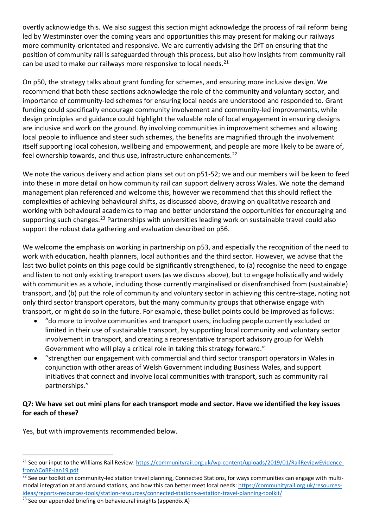overtly acknowledge this. We also suggest this section might acknowledge the process of rail reform being led by Westminster over the coming years and opportunities this may present for making our railways more community-orientated and responsive. We are currently advising the DfT on ensuring that the position of community rail is safeguarded through this process, but also how insights from community rail can be used to make our railways more responsive to local needs.<sup>[21](#page-9-0)</sup>

On p50, the strategy talks about grant funding for schemes, and ensuring more inclusive design. We recommend that both these sections acknowledge the role of the community and voluntary sector, and importance of community-led schemes for ensuring local needs are understood and responded to. Grant funding could specifically encourage community involvement and community-led improvements, while design principles and guidance could highlight the valuable role of local engagement in ensuring designs are inclusive and work on the ground. By involving communities in improvement schemes and allowing local people to influence and steer such schemes, the benefits are magnified through the involvement itself supporting local cohesion, wellbeing and empowerment, and people are more likely to be aware of, feel ownership towards, and thus use, infrastructure enhancements.<sup>[22](#page-9-1)</sup>

We note the various delivery and action plans set out on p51-52; we and our members will be keen to feed into these in more detail on how community rail can support delivery across Wales. We note the demand management plan referenced and welcome this, however we recommend that this should reflect the complexities of achieving behavioural shifts, as discussed above, drawing on qualitative research and working with behavioural academics to map and better understand the opportunities for encouraging and supporting such changes.<sup>[23](#page-9-2)</sup> Partnerships with universities leading work on sustainable travel could also support the robust data gathering and evaluation described on p56.

We welcome the emphasis on working in partnership on p53, and especially the recognition of the need to work with education, health planners, local authorities and the third sector. However, we advise that the last two bullet points on this page could be significantly strengthened, to (a) recognise the need to engage and listen to not only existing transport users (as we discuss above), but to engage holistically and widely with communities as a whole, including those currently marginalised or disenfranchised from (sustainable) transport, and (b) put the role of community and voluntary sector in achieving this centre-stage, noting not only third sector transport operators, but the many community groups that otherwise engage with transport, or might do so in the future. For example, these bullet points could be improved as follows:

- "do more to involve communities and transport users, including people currently excluded or limited in their use of sustainable transport, by supporting local community and voluntary sector involvement in transport, and creating a representative transport advisory group for Welsh Government who will play a critical role in taking this strategy forward."
- "strengthen our engagement with commercial and third sector transport operators in Wales in conjunction with other areas of Welsh Government including Business Wales, and support initiatives that connect and involve local communities with transport, such as community rail partnerships."

# **Q7: We have set out mini plans for each transport mode and sector. Have we identified the key issues for each of these?**

Yes, but with improvements recommended below.

<span id="page-9-0"></span><sup>&</sup>lt;sup>21</sup> See our input to the Williams Rail Review[: https://communityrail.org.uk/wp-content/uploads/2019/01/RailReviewEvidence](https://communityrail.org.uk/wp-content/uploads/2019/01/RailReviewEvidence-fromACoRP-Jan19.pdf)[fromACoRP-Jan19.pdf](https://communityrail.org.uk/wp-content/uploads/2019/01/RailReviewEvidence-fromACoRP-Jan19.pdf)

<span id="page-9-1"></span><sup>&</sup>lt;sup>22</sup> See our toolkit on community-led station travel planning, Connected Stations, for ways communities can engage with multimodal integration at and around stations, and how this can better meet local needs: [https://communityrail.org.uk/resources](https://communityrail.org.uk/resources-ideas/reports-resources-tools/station-resources/connected-stations-a-station-travel-planning-toolkit/)[ideas/reports-resources-tools/station-resources/connected-stations-a-station-travel-planning-toolkit/](https://communityrail.org.uk/resources-ideas/reports-resources-tools/station-resources/connected-stations-a-station-travel-planning-toolkit/)

<span id="page-9-2"></span> $23$  See our appended briefing on behavioural insights (appendix A)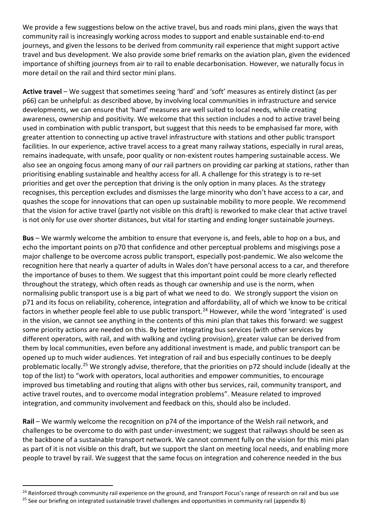We provide a few suggestions below on the active travel, bus and roads mini plans, given the ways that community rail is increasingly working across modes to support and enable sustainable end-to-end journeys, and given the lessons to be derived from community rail experience that might support active travel and bus development. We also provide some brief remarks on the aviation plan, given the evidenced importance of shifting journeys from air to rail to enable decarbonisation. However, we naturally focus in more detail on the rail and third sector mini plans.

**Active travel** – We suggest that sometimes seeing 'hard' and 'soft' measures as entirely distinct (as per p66) can be unhelpful: as described above, by involving local communities in infrastructure and service developments, we can ensure that 'hard' measures are well suited to local needs, while creating awareness, ownership and positivity. We welcome that this section includes a nod to active travel being used in combination with public transport, but suggest that this needs to be emphasised far more, with greater attention to connecting up active travel infrastructure with stations and other public transport facilities. In our experience, active travel access to a great many railway stations, especially in rural areas, remains inadequate, with unsafe, poor quality or non-existent routes hampering sustainable access. We also see an ongoing focus among many of our rail partners on providing car parking at stations, rather than prioritising enabling sustainable and healthy access for all. A challenge for this strategy is to re-set priorities and get over the perception that driving is the only option in many places. As the strategy recognises, this perception excludes and dismisses the large minority who don't have access to a car, and quashes the scope for innovations that can open up sustainable mobility to more people. We recommend that the vision for active travel (partly not visible on this draft) is reworked to make clear that active travel is not only for use over shorter distances, but vital for starting and ending longer sustainable journeys.

**Bus** – We warmly welcome the ambition to ensure that everyone is, and feels, able to hop on a bus, and echo the important points on p70 that confidence and other perceptual problems and misgivings pose a major challenge to be overcome across public transport, especially post-pandemic. We also welcome the recognition here that nearly a quarter of adults in Wales don't have personal access to a car, and therefore the importance of buses to them. We suggest that this important point could be more clearly reflected throughout the strategy, which often reads as though car ownership and use is the norm, when normalising public transport use is a big part of what we need to do. We strongly support the vision on p71 and its focus on reliability, coherence, integration and affordability, all of which we know to be critical factors in whether people feel able to use public transport.<sup>[24](#page-10-0)</sup> However, while the word 'integrated' is used in the vision, we cannot see anything in the contents of this mini plan that takes this forward: we suggest some priority actions are needed on this. By better integrating bus services (with other services by different operators, with rail, and with walking and cycling provision), greater value can be derived from them by local communities, even before any additional investment is made, and public transport can be opened up to much wider audiences. Yet integration of rail and bus especially continues to be deeply problematic locally.[25](#page-10-1) We strongly advise, therefore, that the priorities on p72 should include (ideally at the top of the list) to "work with operators, local authorities and empower communities, to encourage improved bus timetabling and routing that aligns with other bus services, rail, community transport, and active travel routes, and to overcome modal integration problems". Measure related to improved integration, and community involvement and feedback on this, should also be included.

**Rail** – We warmly welcome the recognition on p74 of the importance of the Welsh rail network, and challenges to be overcome to do with past under-investment; we suggest that railways should be seen as the backbone of a sustainable transport network. We cannot comment fully on the vision for this mini plan as part of it is not visible on this draft, but we support the slant on meeting local needs, and enabling more people to travel by rail. We suggest that the same focus on integration and coherence needed in the bus

<span id="page-10-0"></span><sup>&</sup>lt;sup>24</sup> Reinforced through community rail experience on the ground, and Transport Focus's range of research on rail and bus use

<span id="page-10-1"></span><sup>&</sup>lt;sup>25</sup> See our briefing on integrated sustainable travel challenges and opportunities in community rail (appendix B)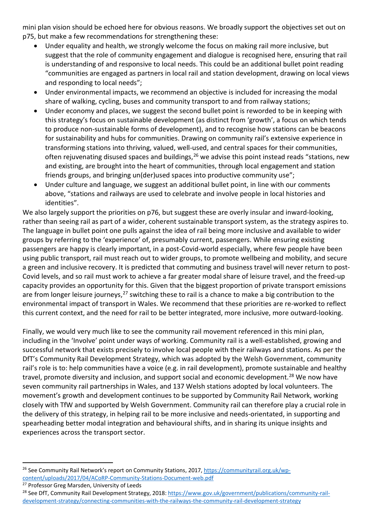mini plan vision should be echoed here for obvious reasons. We broadly support the objectives set out on p75, but make a few recommendations for strengthening these:

- Under equality and health, we strongly welcome the focus on making rail more inclusive, but suggest that the role of community engagement and dialogue is recognised here, ensuring that rail is understanding of and responsive to local needs. This could be an additional bullet point reading "communities are engaged as partners in local rail and station development, drawing on local views and responding to local needs";
- Under environmental impacts, we recommend an objective is included for increasing the modal share of walking, cycling, buses and community transport to and from railway stations;
- Under economy and places, we suggest the second bullet point is reworded to be in keeping with this strategy's focus on sustainable development (as distinct from 'growth', a focus on which tends to produce non-sustainable forms of development), and to recognise how stations can be beacons for sustainability and hubs for communities. Drawing on community rail's extensive experience in transforming stations into thriving, valued, well-used, and central spaces for their communities, often rejuvenating disused spaces and buildings,  $26$  we advise this point instead reads "stations, new and existing, are brought into the heart of communities, through local engagement and station friends groups, and bringing un(der)used spaces into productive community use";
- Under culture and language, we suggest an additional bullet point, in line with our comments above, "stations and railways are used to celebrate and involve people in local histories and identities".

We also largely support the priorities on p76, but suggest these are overly insular and inward-looking, rather than seeing rail as part of a wider, coherent sustainable transport system, as the strategy aspires to. The language in bullet point one pulls against the idea of rail being more inclusive and available to wider groups by referring to the 'experience' of, presumably current, passengers. While ensuring existing passengers are happy is clearly important, in a post-Covid-world especially, where few people have been using public transport, rail must reach out to wider groups, to promote wellbeing and mobility, and secure a green and inclusive recovery. It is predicted that commuting and business travel will never return to post-Covid levels, and so rail must work to achieve a far greater modal share of leisure travel, and the freed-up capacity provides an opportunity for this. Given that the biggest proportion of private transport emissions are from longer leisure journeys,  $27$  switching these to rail is a chance to make a big contribution to the environmental impact of transport in Wales. We recommend that these priorities are re-worked to reflect this current context, and the need for rail to be better integrated, more inclusive, more outward-looking.

Finally, we would very much like to see the community rail movement referenced in this mini plan, including in the 'Involve' point under ways of working. Community rail is a well-established, growing and successful network that exists precisely to involve local people with their railways and stations. As per the DfT's Community Rail Development Strategy, which was adopted by the Welsh Government, community rail's role is to: help communities have a voice (e.g. in rail development), promote sustainable and healthy travel, promote diversity and inclusion, and support social and economic development.<sup>[28](#page-11-2)</sup> We now have seven community rail partnerships in Wales, and 137 Welsh stations adopted by local volunteers. The movement's growth and development continues to be supported by Community Rail Network, working closely with TfW and supported by Welsh Government. Community rail can therefore play a crucial role in the delivery of this strategy, in helping rail to be more inclusive and needs-orientated, in supporting and spearheading better modal integration and behavioural shifts, and in sharing its unique insights and experiences across the transport sector.

<span id="page-11-0"></span><sup>&</sup>lt;sup>26</sup> See Community Rail Network's report on Community Stations, 2017, [https://communityrail.org.uk/wp](https://communityrail.org.uk/wp-content/uploads/2017/04/ACoRP-Community-Stations-Document-web.pdf)[content/uploads/2017/04/ACoRP-Community-Stations-Document-web.pdf](https://communityrail.org.uk/wp-content/uploads/2017/04/ACoRP-Community-Stations-Document-web.pdf)

<span id="page-11-1"></span><sup>&</sup>lt;sup>27</sup> Professor Greg Marsden, University of Leeds

<span id="page-11-2"></span><sup>&</sup>lt;sup>28</sup> See DfT, Community Rail Development Strategy, 2018: [https://www.gov.uk/government/publications/community-rail](https://www.gov.uk/government/publications/community-rail-development-strategy/connecting-communities-with-the-railways-the-community-rail-development-strategy)[development-strategy/connecting-communities-with-the-railways-the-community-rail-development-strategy](https://www.gov.uk/government/publications/community-rail-development-strategy/connecting-communities-with-the-railways-the-community-rail-development-strategy)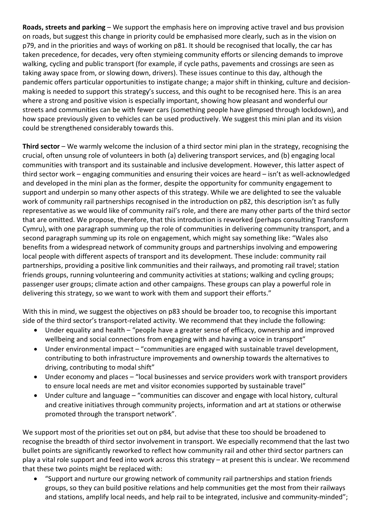**Roads, streets and parking** – We support the emphasis here on improving active travel and bus provision on roads, but suggest this change in priority could be emphasised more clearly, such as in the vision on p79, and in the priorities and ways of working on p81. It should be recognised that locally, the car has taken precedence, for decades, very often stymieing community efforts or silencing demands to improve walking, cycling and public transport (for example, if cycle paths, pavements and crossings are seen as taking away space from, or slowing down, drivers). These issues continue to this day, although the pandemic offers particular opportunities to instigate change; a major shift in thinking, culture and decisionmaking is needed to support this strategy's success, and this ought to be recognised here. This is an area where a strong and positive vision is especially important, showing how pleasant and wonderful our streets and communities can be with fewer cars (something people have glimpsed through lockdown), and how space previously given to vehicles can be used productively. We suggest this mini plan and its vision could be strengthened considerably towards this.

**Third sector** – We warmly welcome the inclusion of a third sector mini plan in the strategy, recognising the crucial, often unsung role of volunteers in both (a) delivering transport services, and (b) engaging local communities with transport and its sustainable and inclusive development. However, this latter aspect of third sector work – engaging communities and ensuring their voices are heard – isn't as well-acknowledged and developed in the mini plan as the former, despite the opportunity for community engagement to support and underpin so many other aspects of this strategy. While we are delighted to see the valuable work of community rail partnerships recognised in the introduction on p82, this description isn't as fully representative as we would like of community rail's role, and there are many other parts of the third sector that are omitted. We propose, therefore, that this introduction is reworked (perhaps consulting Transform Cymru), with one paragraph summing up the role of communities in delivering community transport, and a second paragraph summing up its role on engagement, which might say something like: "Wales also benefits from a widespread network of community groups and partnerships involving and empowering local people with different aspects of transport and its development. These include: community rail partnerships, providing a positive link communities and their railways, and promoting rail travel; station friends groups, running volunteering and community activities at stations; walking and cycling groups; passenger user groups; climate action and other campaigns. These groups can play a powerful role in delivering this strategy, so we want to work with them and support their efforts."

With this in mind, we suggest the objectives on p83 should be broader too, to recognise this important side of the third sector's transport-related activity. We recommend that they include the following:

- Under equality and health "people have a greater sense of efficacy, ownership and improved wellbeing and social connections from engaging with and having a voice in transport"
- Under environmental impact "communities are engaged with sustainable travel development, contributing to both infrastructure improvements and ownership towards the alternatives to driving, contributing to modal shift"
- Under economy and places "local businesses and service providers work with transport providers to ensure local needs are met and visitor economies supported by sustainable travel"
- Under culture and language "communities can discover and engage with local history, cultural and creative initiatives through community projects, information and art at stations or otherwise promoted through the transport network".

We support most of the priorities set out on p84, but advise that these too should be broadened to recognise the breadth of third sector involvement in transport. We especially recommend that the last two bullet points are significantly reworked to reflect how community rail and other third sector partners can play a vital role support and feed into work across this strategy – at present this is unclear. We recommend that these two points might be replaced with:

• "Support and nurture our growing network of community rail partnerships and station friends groups, so they can build positive relations and help communities get the most from their railways and stations, amplify local needs, and help rail to be integrated, inclusive and community-minded";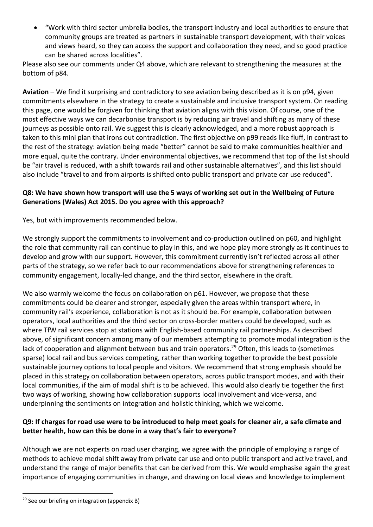• "Work with third sector umbrella bodies, the transport industry and local authorities to ensure that community groups are treated as partners in sustainable transport development, with their voices and views heard, so they can access the support and collaboration they need, and so good practice can be shared across localities".

Please also see our comments under Q4 above, which are relevant to strengthening the measures at the bottom of p84.

**Aviation** – We find it surprising and contradictory to see aviation being described as it is on p94, given commitments elsewhere in the strategy to create a sustainable and inclusive transport system. On reading this page, one would be forgiven for thinking that aviation aligns with this vision. Of course, one of the most effective ways we can decarbonise transport is by reducing air travel and shifting as many of these journeys as possible onto rail. We suggest this is clearly acknowledged, and a more robust approach is taken to this mini plan that irons out contradiction. The first objective on p99 reads like fluff, in contrast to the rest of the strategy: aviation being made "better" cannot be said to make communities healthier and more equal, quite the contrary. Under environmental objectives, we recommend that top of the list should be "air travel is reduced, with a shift towards rail and other sustainable alternatives", and this list should also include "travel to and from airports is shifted onto public transport and private car use reduced".

### **Q8: We have shown how transport will use the 5 ways of working set out in the Wellbeing of Future Generations (Wales) Act 2015. Do you agree with this approach?**

Yes, but with improvements recommended below.

We strongly support the commitments to involvement and co-production outlined on p60, and highlight the role that community rail can continue to play in this, and we hope play more strongly as it continues to develop and grow with our support. However, this commitment currently isn't reflected across all other parts of the strategy, so we refer back to our recommendations above for strengthening references to community engagement, locally-led change, and the third sector, elsewhere in the draft.

We also warmly welcome the focus on collaboration on p61. However, we propose that these commitments could be clearer and stronger, especially given the areas within transport where, in community rail's experience, collaboration is not as it should be. For example, collaboration between operators, local authorities and the third sector on cross-border matters could be developed, such as where TfW rail services stop at stations with English-based community rail partnerships. As described above, of significant concern among many of our members attempting to promote modal integration is the lack of cooperation and alignment between bus and train operators.<sup>[29](#page-13-0)</sup> Often, this leads to (sometimes sparse) local rail and bus services competing, rather than working together to provide the best possible sustainable journey options to local people and visitors. We recommend that strong emphasis should be placed in this strategy on collaboration between operators, across public transport modes, and with their local communities, if the aim of modal shift is to be achieved. This would also clearly tie together the first two ways of working, showing how collaboration supports local involvement and vice-versa, and underpinning the sentiments on integration and holistic thinking, which we welcome.

# **Q9: If charges for road use were to be introduced to help meet goals for cleaner air, a safe climate and better health, how can this be done in a way that's fair to everyone?**

Although we are not experts on road user charging, we agree with the principle of employing a range of methods to achieve modal shift away from private car use and onto public transport and active travel, and understand the range of major benefits that can be derived from this. We would emphasise again the great importance of engaging communities in change, and drawing on local views and knowledge to implement

<span id="page-13-0"></span> $29$  See our briefing on integration (appendix B)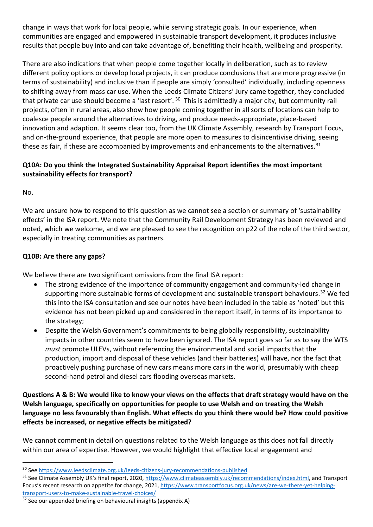change in ways that work for local people, while serving strategic goals. In our experience, when communities are engaged and empowered in sustainable transport development, it produces inclusive results that people buy into and can take advantage of, benefiting their health, wellbeing and prosperity.

There are also indications that when people come together locally in deliberation, such as to review different policy options or develop local projects, it can produce conclusions that are more progressive (in terms of sustainability) and inclusive than if people are simply 'consulted' individually, including openness to shifting away from mass car use. When the Leeds Climate Citizens' Jury came together, they concluded that private car use should become a 'last resort'. <sup>[30](#page-14-0)</sup> This is admittedly a major city, but community rail projects, often in rural areas, also show how people coming together in all sorts of locations can help to coalesce people around the alternatives to driving, and produce needs-appropriate, place-based innovation and adaption. It seems clear too, from the UK Climate Assembly, research by Transport Focus, and on-the-ground experience, that people are more open to measures to disincentivise driving, seeing these as fair, if these are accompanied by improvements and enhancements to the alternatives.  $31$ 

### **Q10A: Do you think the Integrated Sustainability Appraisal Report identifies the most important sustainability effects for transport?**

No.

We are unsure how to respond to this question as we cannot see a section or summary of 'sustainability effects' in the ISA report. We note that the Community Rail Development Strategy has been reviewed and noted, which we welcome, and we are pleased to see the recognition on p22 of the role of the third sector, especially in treating communities as partners.

#### **Q10B: Are there any gaps?**

We believe there are two significant omissions from the final ISA report:

- The strong evidence of the importance of community engagement and community-led change in supporting more sustainable forms of development and sustainable transport behaviours.<sup>[32](#page-14-2)</sup> We fed this into the ISA consultation and see our notes have been included in the table as 'noted' but this evidence has not been picked up and considered in the report itself, in terms of its importance to the strategy;
- Despite the Welsh Government's commitments to being globally responsibility, sustainability impacts in other countries seem to have been ignored. The ISA report goes so far as to say the WTS *must* promote ULEVs, without referencing the environmental and social impacts that the production, import and disposal of these vehicles (and their batteries) will have, nor the fact that proactively pushing purchase of new cars means more cars in the world, presumably with cheap second-hand petrol and diesel cars flooding overseas markets.

#### **Questions A & B: We would like to know your views on the effects that draft strategy would have on the Welsh language, specifically on opportunities for people to use Welsh and on treating the Welsh language no less favourably than English. What effects do you think there would be? How could positive effects be increased, or negative effects be mitigated?**

We cannot comment in detail on questions related to the Welsh language as this does not fall directly within our area of expertise. However, we would highlight that effective local engagement and

<span id="page-14-0"></span><sup>30</sup> Se[e https://www.leedsclimate.org.uk/leeds-citizens-jury-recommendations-published](https://www.leedsclimate.org.uk/leeds-citizens-jury-recommendations-published)

<span id="page-14-1"></span><sup>&</sup>lt;sup>31</sup> See Climate Assembly UK's final report, 2020[, https://www.climateassembly.uk/recommendations/index.html,](https://www.climateassembly.uk/recommendations/index.html) and Transport Focus's recent research on appetite for change, 2021, [https://www.transportfocus.org.uk/news/are-we-there-yet-helping](https://www.transportfocus.org.uk/news/are-we-there-yet-helping-transport-users-to-make-sustainable-travel-choices/)[transport-users-to-make-sustainable-travel-choices/](https://www.transportfocus.org.uk/news/are-we-there-yet-helping-transport-users-to-make-sustainable-travel-choices/)

<span id="page-14-2"></span> $32$  See our appended briefing on behavioural insights (appendix A)